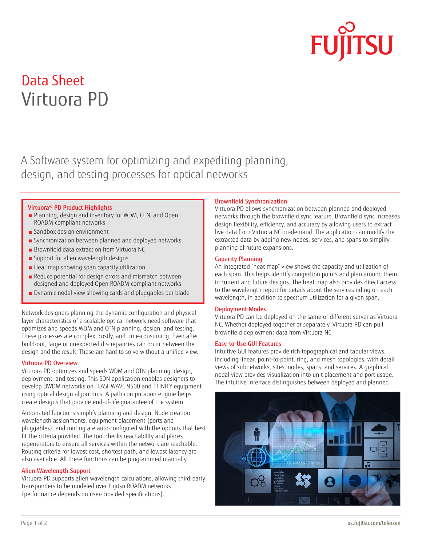

# Data Sheet Virtuora PD

A Software system for optimizing and expediting planning, design, and testing processes for optical networks

#### Virtuora® PD Product Highlights

- Planning, design and inventory for WDM, OTN, and Open ROADM-compliant networks
- Sandbox design environment
- Synchronization between planned and deployed networks
- Brownfield data extraction from Virtuora NC
- Support for alien wavelength designs
- Heat map showing span capacity utilization
- Reduce potential for design errors and mismatch between designed and deployed Open ROADM-compliant networks
- Dynamic nodal view showing cards and pluggables per blade

Network designers planning the dynamic configuration and physical layer characteristics of a scalable optical network need software that optimizes and speeds WDM and OTN planning, design, and testing. These processes are complex, costly, and time-consuming. Even after build-out, large or unexpected discrepancies can occur between the design and the result. These are hard to solve without a unified view.

#### Virtuora PD Overview

Virtuora PD optimizes and speeds WDM and OTN planning, design, deployment, and testing. This SDN application enables designers to develop DWDM networks on FLASHWAVE 9500 and 1FINITY equipment using optical design algorithms. A path computation engine helps create designs that provide end-of-life guarantee of the system.

Automated functions simplify planning and design. Node creation, wavelength assignments, equipment placement (ports and pluggables), and routing are auto-configured with the options that best fit the criteria provided. The tool checks reachability and places regenerators to ensure all services within the network are reachable. Routing criteria for lowest cost, shortest path, and lowest latency are also available. All these functions can be programmed manually.

#### Alien Wavelength Support

Virtuora PD supports alien wavelength calculations, allowing third-party transponders to be modeled over Fujitsu ROADM networks (performance depends on user-provided specifications).

#### Brownfield Synchronization

Virtuora PD allows synchronization between planned and deployed networks through the brownfield sync feature. Brownfield sync increases design flexibility, efficiency, and accuracy by allowing users to extract live data from Virtuora NC on-demand. The application can modify the extracted data by adding new nodes, services, and spans to simplify planning of future expansions.

### Capacity Planning

An integrated "heat map" view shows the capacity and utilization of each span. This helps identify congestion points and plan around them in current and future designs. The heat map also provides direct access to the wavelength report for details about the services riding on each wavelength, in addition to spectrum utilization for a given span.

#### Deployment Modes

Virtuora PD can be deployed on the same or different server as Virtuora NC. Whether deployed together or separately, Virtuora PD can pull brownfield deployment data from Virtuora NC.

#### Easy-to-Use GUI Features

Intuitive GUI features provide rich topographical and tabular views, including linear, point-to-point, ring, and mesh topologies, with detail views of subnetworks, sites, nodes, spans, and services. A graphical nodal view provides visualization into unit placement and port usage. The intuitive interface distinguishes between deployed and planned